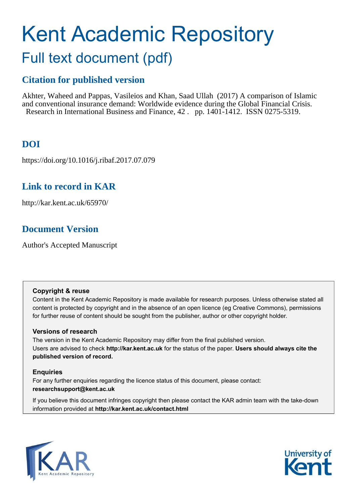# Kent Academic Repository Full text document (pdf)

# **Citation for published version**

Akhter, Waheed and Pappas, Vasileios and Khan, Saad Ullah (2017) A comparison of Islamic and conventional insurance demand: Worldwide evidence during the Global Financial Crisis. Research in International Business and Finance, 42 . pp. 1401-1412. ISSN 0275-5319.

# **DOI**

https://doi.org/10.1016/j.ribaf.2017.07.079

# **Link to record in KAR**

http://kar.kent.ac.uk/65970/

# **Document Version**

Author's Accepted Manuscript

# **Copyright & reuse**

Content in the Kent Academic Repository is made available for research purposes. Unless otherwise stated all content is protected by copyright and in the absence of an open licence (eg Creative Commons), permissions for further reuse of content should be sought from the publisher, author or other copyright holder.

# **Versions of research**

The version in the Kent Academic Repository may differ from the final published version. Users are advised to check **http://kar.kent.ac.uk** for the status of the paper. **Users should always cite the published version of record.**

# **Enquiries**

For any further enquiries regarding the licence status of this document, please contact: **researchsupport@kent.ac.uk**

If you believe this document infringes copyright then please contact the KAR admin team with the take-down information provided at **http://kar.kent.ac.uk/contact.html**



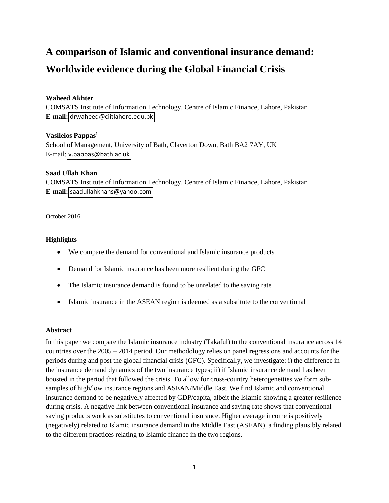# **A comparison of Islamic and conventional insurance demand: Worldwide evidence during the Global Financial Crisis**

### **Waheed Akhter**

COMSATS Institute of Information Technology, Centre of Islamic Finance, Lahore, Pakistan **E-mail:** [drwaheed@ciitlahore.edu.pk](mailto:drwaheed@ciitlahore.edu.pk)

### **Vasileios Pappas<sup>1</sup>**

School of Management, University of Bath, Claverton Down, Bath BA2 7AY, UK E-mail: [v.pappas@bath.ac.uk](mailto:v.pappas@bath.ac.uk)

### **Saad Ullah Khan**

COMSATS Institute of Information Technology, Centre of Islamic Finance, Lahore, Pakistan **E-mail:** [saadullahkhans@yahoo.com](mailto:saadullahkhans@yahoo.com)

October 2016

#### **Highlights**

- We compare the demand for conventional and Islamic insurance products
- Demand for Islamic insurance has been more resilient during the GFC
- The Islamic insurance demand is found to be unrelated to the saving rate
- Islamic insurance in the ASEAN region is deemed as a substitute to the conventional

#### **Abstract**

In this paper we compare the Islamic insurance industry (Takaful) to the conventional insurance across 14 countries over the 2005 – 2014 period. Our methodology relies on panel regressions and accounts for the periods during and post the global financial crisis (GFC). Specifically, we investigate: i) the difference in the insurance demand dynamics of the two insurance types; ii) if Islamic insurance demand has been boosted in the period that followed the crisis. To allow for cross-country heterogeneities we form subsamples of high/low insurance regions and ASEAN/Middle East. We find Islamic and conventional insurance demand to be negatively affected by GDP/capita, albeit the Islamic showing a greater resilience during crisis. A negative link between conventional insurance and saving rate shows that conventional saving products work as substitutes to conventional insurance. Higher average income is positively (negatively) related to Islamic insurance demand in the Middle East (ASEAN), a finding plausibly related to the different practices relating to Islamic finance in the two regions.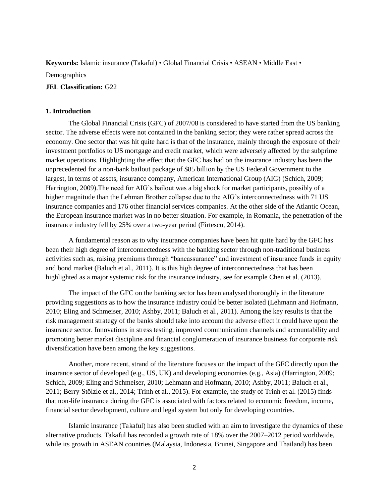**Keywords:** Islamic insurance (Takaful) • Global Financial Crisis • ASEAN • Middle East •

**Demographics** 

#### **JEL Classification:** G22

#### **1. Introduction**

The Global Financial Crisis (GFC) of 2007/08 is considered to have started from the US banking sector. The adverse effects were not contained in the banking sector; they were rather spread across the economy. One sector that was hit quite hard is that of the insurance, mainly through the exposure of their investment portfolios to US mortgage and credit market, which were adversely affected by the subprime market operations. Highlighting the effect that the GFC has had on the insurance industry has been the unprecedented for a non-bank bailout package of \$85 billion by the US Federal Government to the largest, in terms of assets, insurance company, American International Group (AIG) (Schich, 2009; Harrington, 2009).The need for AIG's bailout was a big shock for market participants, possibly of a higher magnitude than the Lehman Brother collapse due to the AIG's interconnectedness with 71 US insurance companies and 176 other financial services companies. At the other side of the Atlantic Ocean, the European insurance market was in no better situation. For example, in Romania, the penetration of the insurance industry fell by 25% over a two-year period (Firtescu, 2014).

A fundamental reason as to why insurance companies have been hit quite hard by the GFC has been their high degree of interconnectedness with the banking sector through non-traditional business activities such as, raising premiums through "bancassurance" and investment of insurance funds in equity and bond market (Baluch et al., 2011). It is this high degree of interconnectedness that has been highlighted as a major systemic risk for the insurance industry, see for example Chen et al. (2013).

The impact of the GFC on the banking sector has been analysed thoroughly in the literature providing suggestions as to how the insurance industry could be better isolated (Lehmann and Hofmann, 2010; Eling and Schmeiser, 2010; Ashby, 2011; Baluch et al., 2011). Among the key results is that the risk management strategy of the banks should take into account the adverse effect it could have upon the insurance sector. Innovations in stress testing, improved communication channels and accountability and promoting better market discipline and financial conglomeration of insurance business for corporate risk diversification have been among the key suggestions.

Another, more recent, strand of the literature focuses on the impact of the GFC directly upon the insurance sector of developed (e.g., US, UK) and developing economies (e.g., Asia) (Harrington, 2009; Schich, 2009; Eling and Schmeiser, 2010; Lehmann and Hofmann, 2010; Ashby, 2011; Baluch et al., 2011; Berry-Stölzle et al., 2014; Trinh et al., 2015). For example, the study of Trinh et al. (2015) finds that non-life insurance during the GFC is associated with factors related to economic freedom, income, financial sector development, culture and legal system but only for developing countries.

Islamic insurance (Takaful) has also been studied with an aim to investigate the dynamics of these alternative products. Takaful has recorded a growth rate of 18% over the 2007–2012 period worldwide, while its growth in ASEAN countries (Malaysia, Indonesia, Brunei, Singapore and Thailand) has been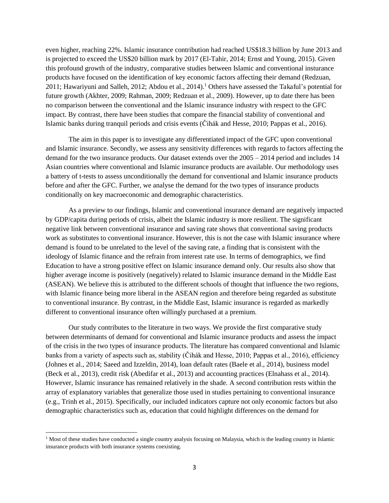even higher, reaching 22%. Islamic insurance contribution had reached US\$18.3 billion by June 2013 and is projected to exceed the US\$20 billion mark by 2017 (El-Tahir, 2014; Ernst and Young, 2015). Given this profound growth of the industry, comparative studies between Islamic and conventional insturance products have focused on the identification of key economic factors affecting their demand (Redzuan, 2011; Hawariyuni and Salleh, 2012; Abdou et al., 2014).<sup>1</sup> Others have assessed the Takaful's potential for future growth (Akhter, 2009; Rahman, 2009; Redzuan et al., 2009). However, up to date there has been no comparison between the conventional and the Islamic insurance industry with respect to the GFC impact. By contrast, there have been studies that compare the financial stability of conventional and Islamic banks during tranquil periods and crisis events (Čihák and Hesse, 2010; Pappas et al., 2016).

The aim in this paper is to investigate any differentiated impact of the GFC upon conventional and Islamic insurance. Secondly, we assess any sensitivity differences with regards to factors affecting the demand for the two insurance products. Our dataset extends over the 2005 – 2014 period and includes 14 Asian countries where conventional and Islamic insurance products are available. Our methodology uses a battery of t-tests to assess unconditionally the demand for conventional and Islamic insurance products before and after the GFC. Further, we analyse the demand for the two types of insurance products conditionally on key macroeconomic and demographic characteristics.

As a preview to our findings, Islamic and conventional insurance demand are negatively impacted by GDP/capita during periods of crisis, albeit the Islamic industry is more resilient. The significant negative link between conventional insurance and saving rate shows that conventional saving products work as substitutes to conventional insurance. However, this is not the case with Islamic insurance where demand is found to be unrelated to the level of the saving rate, a finding that is consistent with the ideology of Islamic finance and the refrain from interest rate use. In terms of demographics, we find Education to have a strong positive effect on Islamic insurance demand only. Our results also show that higher average income is positively (negatively) related to Islamic insurance demand in the Middle East (ASEAN). We believe this is attributed to the different schools of thought that influence the two regions, with Islamic finance being more liberal in the ASEAN region and therefore being regarded as substitute to conventional insurance. By contrast, in the Middle East, Islamic insurance is regarded as markedly different to conventional insurance often willingly purchased at a premium.

Our study contributes to the literature in two ways. We provide the first comparative study between determinants of demand for conventional and Islamic insurance products and assess the impact of the crisis in the two types of insurance products. The literature has compared conventional and Islamic banks from a variety of aspects such as, stability (Čihák and Hesse, 2010; Pappas et al., 2016), efficiency (Johnes et al., 2014; Saeed and Izzeldin, 2014), loan default rates (Baele et al., 2014), business model (Beck et al., 2013), credit risk (Abedifar et al., 2013) and accounting practices (Elnahass et al., 2014). However, Islamic insurance has remained relatively in the shade. A second contribution rests within the array of explanatory variables that generalize those used in studies pertaining to conventional insurance (e.g., Trinh et al., 2015). Specifically, our included indicators capture not only economic factors but also demographic characteristics such as, education that could highlight differences on the demand for

<sup>&</sup>lt;sup>1</sup> Most of these studies have conducted a single country analysis focusing on Malaysia, which is the leading country in Islamic insurance products with both insurance systems coexisting.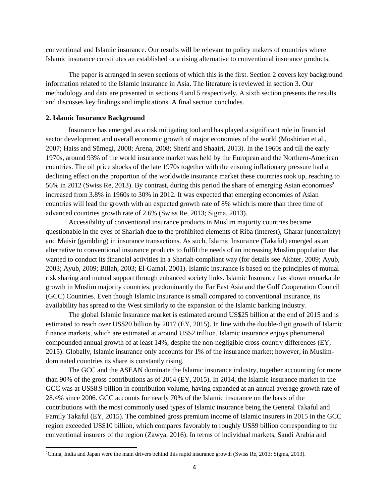conventional and Islamic insurance. Our results will be relevant to policy makers of countries where Islamic insurance constitutes an established or a rising alternative to conventional insurance products.

The paper is arranged in seven sections of which this is the first. Section 2 covers key background information related to the Islamic insurance in Asia. The literature is reviewed in section 3. Our methodology and data are presented in sections 4 and 5 respectively. A sixth section presents the results and discusses key findings and implications. A final section concludes.

#### **2. Islamic Insurance Background**

Insurance has emerged as a risk mitigating tool and has played a significant role in financial sector development and overall economic growth of major economies of the world (Moshirian et al., 2007; Haiss and Sümegi, 2008; Arena, 2008; Sherif and Shaairi, 2013). In the 1960s and till the early 1970s, around 93% of the world insurance market was held by the European and the Northern-American countries. The oil price shocks of the late 1970s together with the ensuing inflationary pressure had a declining effect on the proportion of the worldwide insurance market these countries took up, reaching to 56% in 2012 (Swiss Re, 2013). By contrast, during this period the share of emerging Asian economies<sup>2</sup> increased from 3.8% in 1960s to 30% in 2012. It was expected that emerging economies of Asian countries will lead the growth with an expected growth rate of 8% which is more than three time of advanced countries growth rate of 2.6% (Swiss Re, 2013; Sigma, 2013).

Accessibility of conventional insurance products in Muslim majority countries became questionable in the eyes of Shariah due to the prohibited elements of Riba (interest), Gharar (uncertainty) and Maisir (gambling) in insurance transactions. As such, Islamic Insurance (Takaful) emerged as an alternative to conventional insurance products to fulfil the needs of an increasing Muslim population that wanted to conduct its financial activities in a Shariah-compliant way (for details see Akhter, 2009; Ayub, 2003; Ayub, 2009; Billah, 2003; El-Gamal, 2001). Islamic insurance is based on the principles of mutual risk sharing and mutual support through enhanced society links. Islamic Insurance has shown remarkable growth in Muslim majority countries, predominantly the Far East Asia and the Gulf Cooperation Council (GCC) Countries. Even though Islamic Insurance is small compared to conventional insurance, its availability has spread to the West similarly to the expansion of the Islamic banking industry.

The global Islamic Insurance market is estimated around US\$25 billion at the end of 2015 and is estimated to reach over US\$20 billion by 2017 (EY, 2015). In line with the double-digit growth of Islamic finance markets, which are estimated at around US\$2 trillion, Islamic insurance enjoys phenomenal compounded annual growth of at least 14%, despite the non-negligible cross-country differences (EY, 2015). Globally, Islamic insurance only accounts for 1% of the insurance market; however, in Muslimdominated countries its share is constantly rising.

The GCC and the ASEAN dominate the Islamic insurance industry, together accounting for more than 90% of the gross contributions as of 2014 (EY, 2015). In 2014, the Islamic insurance market in the GCC was at US\$8.9 billion in contribution volume, having expanded at an annual average growth rate of 28.4% since 2006. GCC accounts for nearly 70% of the Islamic insurance on the basis of the contributions with the most commonly used types of Islamic insurance being the General Takaful and Family Takaful (EY, 2015). The combined gross premium income of Islamic insurers in 2015 in the GCC region exceeded US\$10 billion, which compares favorably to roughly US\$9 billion corresponding to the conventional insurers of the region (Zawya, 2016). In terms of individual markets, Saudi Arabia and

<sup>2</sup>China, India and Japan were the main drivers behind this rapid insurance growth (Swiss Re, 2013; Sigma, 2013).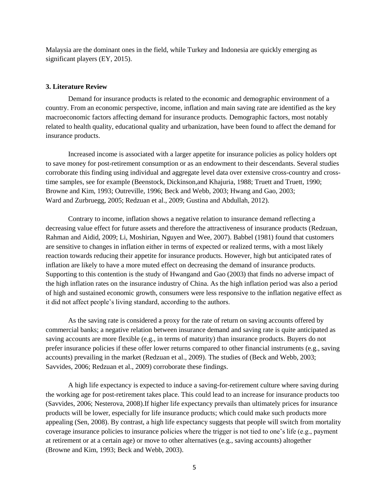Malaysia are the dominant ones in the field, while Turkey and Indonesia are quickly emerging as significant players (EY, 2015).

#### **3. Literature Review**

Demand for insurance products is related to the economic and demographic environment of a country. From an economic perspective, income, inflation and main saving rate are identified as the key macroeconomic factors affecting demand for insurance products. Demographic factors, most notably related to health quality, educational quality and urbanization, have been found to affect the demand for insurance products.

Increased income is associated with a larger appetite for insurance policies as policy holders opt to save money for post-retirement consumption or as an endowment to their descendants. Several studies corroborate this finding using individual and aggregate level data over extensive cross-country and crosstime samples, see for example (Beenstock, Dickinson,and Khajuria, 1988; Truett and Truett, 1990; Browne and Kim, 1993; Outreville, 1996; Beck and Webb, 2003; Hwang and Gao, 2003; Ward and Zurbruegg, 2005; Redzuan et al., 2009; Gustina and Abdullah, 2012).

Contrary to income, inflation shows a negative relation to insurance demand reflecting a decreasing value effect for future assets and therefore the attractiveness of insurance products (Redzuan, Rahman and Aidid, 2009; Li, Moshirian, Nguyen and Wee, 2007). Babbel (1981) found that customers are sensitive to changes in inflation either in terms of expected or realized terms, with a most likely reaction towards reducing their appetite for insurance products. However, high but anticipated rates of inflation are likely to have a more muted effect on decreasing the demand of insurance products. Supporting to this contention is the study of Hwangand and Gao (2003) that finds no adverse impact of the high inflation rates on the insurance industry of China. As the high inflation period was also a period of high and sustained economic growth, consumers were less responsive to the inflation negative effect as it did not affect people's living standard, according to the authors.

As the saving rate is considered a proxy for the rate of return on saving accounts offered by commercial banks; a negative relation between insurance demand and saving rate is quite anticipated as saving accounts are more flexible (e.g., in terms of maturity) than insurance products. Buyers do not prefer insurance policies if these offer lower returns compared to other financial instruments (e.g., saving accounts) prevailing in the market (Redzuan et al., 2009). The studies of (Beck and Webb, 2003; Savvides, 2006; Redzuan et al., 2009) corroborate these findings.

A high life expectancy is expected to induce a saving-for-retirement culture where saving during the working age for post-retirement takes place. This could lead to an increase for insurance products too (Savvides, 2006; Nesterova, 2008).If higher life expectancy prevails than ultimately prices for insurance products will be lower, especially for life insurance products; which could make such products more appealing (Sen, 2008). By contrast, a high life expectancy suggests that people will switch from mortality coverage insurance policies to insurance policies where the trigger is not tied to one's life (e.g., payment at retirement or at a certain age) or move to other alternatives (e.g., saving accounts) altogether (Browne and Kim, 1993; Beck and Webb, 2003).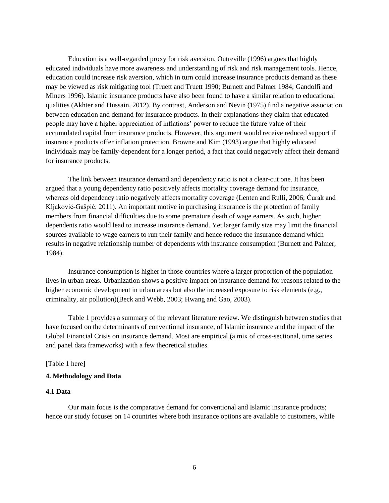Education is a well-regarded proxy for risk aversion. Outreville (1996) argues that highly educated individuals have more awareness and understanding of risk and risk management tools. Hence, education could increase risk aversion, which in turn could increase insurance products demand as these may be viewed as risk mitigating tool (Truett and Truett 1990; Burnett and Palmer 1984; Gandolfi and Miners 1996). Islamic insurance products have also been found to have a similar relation to educational qualities (Akhter and Hussain, 2012). By contrast, Anderson and Nevin (1975) find a negative association between education and demand for insurance products. In their explanations they claim that educated people may have a higher appreciation of inflations' power to reduce the future value of their accumulated capital from insurance products. However, this argument would receive reduced support if insurance products offer inflation protection. Browne and Kim (1993) argue that highly educated individuals may be family-dependent for a longer period, a fact that could negatively affect their demand for insurance products.

The link between insurance demand and dependency ratio is not a clear-cut one. It has been argued that a young dependency ratio positively affects mortality coverage demand for insurance, whereas old dependency ratio negatively affects mortality coverage (Lenten and Rulli, 2006; Ćurak and Kljaković-Gašpić, 2011). An important motive in purchasing insurance is the protection of family members from financial difficulties due to some premature death of wage earners. As such, higher dependents ratio would lead to increase insurance demand. Yet larger family size may limit the financial sources available to wage earners to run their family and hence reduce the insurance demand which results in negative relationship number of dependents with insurance consumption (Burnett and Palmer, 1984).

Insurance consumption is higher in those countries where a larger proportion of the population lives in urban areas. Urbanization shows a positive impact on insurance demand for reasons related to the higher economic development in urban areas but also the increased exposure to risk elements (e.g., criminality, air pollution)(Beck and Webb, 2003; Hwang and Gao, 2003).

Table 1 provides a summary of the relevant literature review. We distinguish between studies that have focused on the determinants of conventional insurance, of Islamic insurance and the impact of the Global Financial Crisis on insurance demand. Most are empirical (a mix of cross-sectional, time series and panel data frameworks) with a few theoretical studies.

#### [Table 1 here]

#### **4. Methodology and Data**

#### **4.1 Data**

Our main focus is the comparative demand for conventional and Islamic insurance products; hence our study focuses on 14 countries where both insurance options are available to customers, while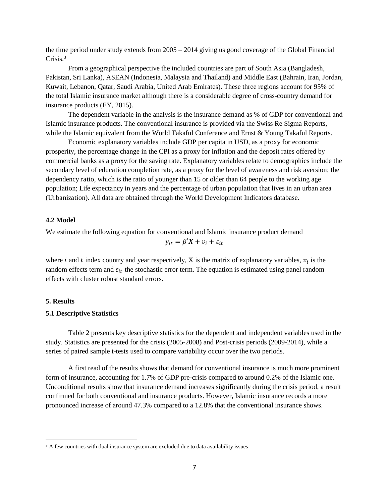the time period under study extends from 2005 – 2014 giving us good coverage of the Global Financial Crisis.<sup>3</sup>

From a geographical perspective the included countries are part of South Asia (Bangladesh, Pakistan, Sri Lanka), ASEAN (Indonesia, Malaysia and Thailand) and Middle East (Bahrain, Iran, Jordan, Kuwait, Lebanon, Qatar, Saudi Arabia, United Arab Emirates). These three regions account for 95% of the total Islamic insurance market although there is a considerable degree of cross-country demand for insurance products (EY, 2015).

The dependent variable in the analysis is the insurance demand as % of GDP for conventional and Islamic insurance products. The conventional insurance is provided via the Swiss Re Sigma Reports, while the Islamic equivalent from the World Takaful Conference and Ernst & Young Takaful Reports.

Economic explanatory variables include GDP per capita in USD, as a proxy for economic prosperity, the percentage change in the CPI as a proxy for inflation and the deposit rates offered by commercial banks as a proxy for the saving rate. Explanatory variables relate to demographics include the secondary level of education completion rate, as a proxy for the level of awareness and risk aversion; the dependency ratio, which is the ratio of younger than 15 or older than 64 people to the working age population; Life expectancy in years and the percentage of urban population that lives in an urban area (Urbanization). All data are obtained through the World Development Indicators database.

#### **4.2 Model**

We estimate the following equation for conventional and Islamic insurance product demand

 $y_{it} = \beta' X + v_i + \varepsilon_{it}$ 

where *i* and *t* index country and year respectively, X is the matrix of explanatory variables,  $v_i$  is the random effects term and  $\varepsilon_{it}$  the stochastic error term. The equation is estimated using panel random effects with cluster robust standard errors.

#### **5. Results**

#### **5.1 Descriptive Statistics**

Table 2 presents key descriptive statistics for the dependent and independent variables used in the study. Statistics are presented for the crisis (2005-2008) and Post-crisis periods (2009-2014), while a series of paired sample t-tests used to compare variability occur over the two periods.

A first read of the results shows that demand for conventional insurance is much more prominent form of insurance, accounting for 1.7% of GDP pre-crisis compared to around 0.2% of the Islamic one. Unconditional results show that insurance demand increases significantly during the crisis period, a result confirmed for both conventional and insurance products. However, Islamic insurance records a more pronounced increase of around 47.3% compared to a 12.8% that the conventional insurance shows.

 $3 A$  few countries with dual insurance system are excluded due to data availability issues.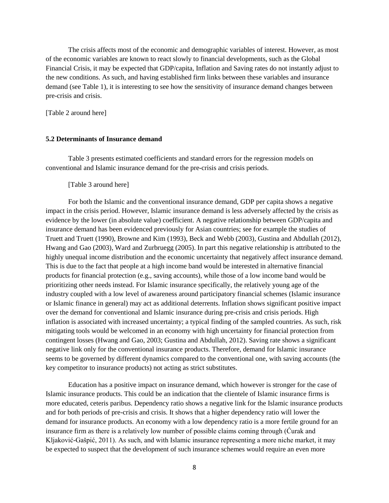The crisis affects most of the economic and demographic variables of interest. However, as most of the economic variables are known to react slowly to financial developments, such as the Global Financial Crisis, it may be expected that GDP/capita, Inflation and Saving rates do not instantly adjust to the new conditions. As such, and having established firm links between these variables and insurance demand (see Table 1), it is interesting to see how the sensitivity of insurance demand changes between pre-crisis and crisis.

[Table 2 around here]

#### **5.2 Determinants of Insurance demand**

Table 3 presents estimated coefficients and standard errors for the regression models on conventional and Islamic insurance demand for the pre-crisis and crisis periods.

#### [Table 3 around here]

For both the Islamic and the conventional insurance demand, GDP per capita shows a negative impact in the crisis period. However, Islamic insurance demand is less adversely affected by the crisis as evidence by the lower (in absolute value) coefficient. A negative relationship between GDP/capita and insurance demand has been evidenced previously for Asian countries; see for example the studies of Truett and Truett (1990), Browne and Kim (1993), Beck and Webb (2003), Gustina and Abdullah (2012), Hwang and Gao (2003), Ward and Zurbruegg (2005). In part this negative relationship is attributed to the highly unequal income distribution and the economic uncertainty that negatively affect insurance demand. This is due to the fact that people at a high income band would be interested in alternative financial products for financial protection (e.g., saving accounts), while those of a low income band would be prioritizing other needs instead. For Islamic insurance specifically, the relatively young age of the industry coupled with a low level of awareness around participatory financial schemes (Islamic insurance or Islamic finance in general) may act as additional deterrents. Inflation shows significant positive impact over the demand for conventional and Islamic insurance during pre-crisis and crisis periods. High inflation is associated with increased uncertainty; a typical finding of the sampled countries. As such, risk mitigating tools would be welcomed in an economy with high uncertainty for financial protection from contingent losses (Hwang and Gao, 2003; Gustina and Abdullah, 2012). Saving rate shows a significant negative link only for the conventional insurance products. Therefore, demand for Islamic insurance seems to be governed by different dynamics compared to the conventional one, with saving accounts (the key competitor to insurance products) not acting as strict substitutes.

Education has a positive impact on insurance demand, which however is stronger for the case of Islamic insurance products. This could be an indication that the clientele of Islamic insurance firms is more educated, ceteris paribus. Dependency ratio shows a negative link for the Islamic insurance products and for both periods of pre-crisis and crisis. It shows that a higher dependency ratio will lower the demand for insurance products. An economy with a low dependency ratio is a more fertile ground for an insurance firm as there is a relatively low number of possible claims coming through (Curak and Kljaković-Gašpić, 2011). As such, and with Islamic insurance representing a more niche market, it may be expected to suspect that the development of such insurance schemes would require an even more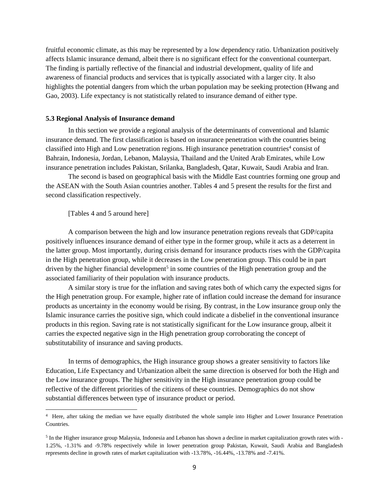fruitful economic climate, as this may be represented by a low dependency ratio. Urbanization positively affects Islamic insurance demand, albeit there is no significant effect for the conventional counterpart. The finding is partially reflective of the financial and industrial development, quality of life and awareness of financial products and services that is typically associated with a larger city. It also highlights the potential dangers from which the urban population may be seeking protection (Hwang and Gao, 2003). Life expectancy is not statistically related to insurance demand of either type.

#### **5.3 Regional Analysis of Insurance demand**

In this section we provide a regional analysis of the determinants of conventional and Islamic insurance demand. The first classification is based on insurance penetration with the countries being classified into High and Low penetration regions. High insurance penetration countries<sup>4</sup> consist of Bahrain, Indonesia, Jordan, Lebanon, Malaysia, Thailand and the United Arab Emirates, while Low insurance penetration includes Pakistan, Srilanka, Bangladesh, Qatar, Kuwait, Saudi Arabia and Iran.

The second is based on geographical basis with the Middle East countries forming one group and the ASEAN with the South Asian countries another. Tables 4 and 5 present the results for the first and second classification respectively.

[Tables 4 and 5 around here]

A comparison between the high and low insurance penetration regions reveals that GDP/capita positively influences insurance demand of either type in the former group, while it acts as a deterrent in the latter group. Most importantly, during crisis demand for insurance products rises with the GDP/capita in the High penetration group, while it decreases in the Low penetration group. This could be in part driven by the higher financial development<sup>5</sup> in some countries of the High penetration group and the associated familiarity of their population with insurance products.

A similar story is true for the inflation and saving rates both of which carry the expected signs for the High penetration group. For example, higher rate of inflation could increase the demand for insurance products as uncertainty in the economy would be rising. By contrast, in the Low insurance group only the Islamic insurance carries the positive sign, which could indicate a disbelief in the conventional insurance products in this region. Saving rate is not statistically significant for the Low insurance group, albeit it carries the expected negative sign in the High penetration group corroborating the concept of substitutability of insurance and saving products.

In terms of demographics, the High insurance group shows a greater sensitivity to factors like Education, Life Expectancy and Urbanization albeit the same direction is observed for both the High and the Low insurance groups. The higher sensitivity in the High insurance penetration group could be reflective of the different priorities of the citizens of these countries. Demographics do not show substantial differences between type of insurance product or period.

<sup>4</sup> Here, after taking the median we have equally distributed the whole sample into Higher and Lower Insurance Penetration Countries.

<sup>&</sup>lt;sup>5</sup> In the Higher insurance group Malaysia, Indonesia and Lebanon has shown a decline in market capitalization growth rates with -1.25%, -1.31% and -9.78% respectively while in lower penetration group Pakistan, Kuwait, Saudi Arabia and Bangladesh represents decline in growth rates of market capitalization with -13.78%, -16.44%, -13.78% and -7.41%.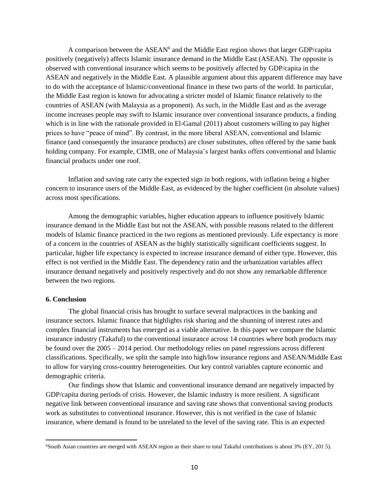A comparison between the ASEAN<sup>6</sup> and the Middle East region shows that larger GDP/capita positively (negatively) affects Islamic insurance demand in the Middle East (ASEAN). The opposite is observed with conventional insurance which seems to be positively affected by GDP/capita in the ASEAN and negatively in the Middle East. A plausible argument about this apparent difference may have to do with the acceptance of Islamic/conventional finance in these two parts of the world. In particular, the Middle East region is known for advocating a stricter model of Islamic finance relatively to the countries of ASEAN (with Malaysia as a proponent). As such, in the Middle East and as the average income increases people may swift to Islamic insurance over conventional insurance products, a finding which is in line with the rationale provided in El-Gamal (2011) about customers willing to pay higher prices to have "peace of mind". By contrast, in the more liberal ASEAN, conventional and Islamic finance (and consequently the insurance products) are closer substitutes, often offered by the same bank holding company. For example, CIMB, one of Malaysia's largest banks offers conventional and Islamic financial products under one roof.

Inflation and saving rate carry the expected sign in both regions, with inflation being a higher concern to insurance users of the Middle East, as evidenced by the higher coefficient (in absolute values) across most specifications.

Among the demographic variables, higher education appears to influence positively Islamic insurance demand in the Middle East but not the ASEAN, with possible reasons related to the different models of Islamic finance practiced in the two regions as mentioned previously. Life expectancy is more of a concern in the countries of ASEAN as the highly statistically significant coefficients suggest. In particular, higher life expectancy is expected to increase insurance demand of either type. However, this effect is not verified in the Middle East. The dependency ratio and the urbanization variables affect insurance demand negatively and positively respectively and do not show any remarkable difference between the two regions.

### **6. Conclusion**

The global financial crisis has brought to surface several malpractices in the banking and insurance sectors. Islamic finance that highlights risk sharing and the shunning of interest rates and complex financial instruments has emerged as a viable alternative. In this paper we compare the Islamic insurance industry (Takaful) to the conventional insurance across 14 countries where both products may be found over the 2005 – 2014 period. Our methodology relies on panel regressions across different classifications. Specifically, we split the sample into high/low insurance regions and ASEAN/Middle East to allow for varying cross-country heterogeneities. Our key control variables capture economic and demographic criteria.

Our findings show that Islamic and conventional insurance demand are negatively impacted by GDP/capita during periods of crisis. However, the Islamic industry is more resilient. A significant negative link between conventional insurance and saving rate shows that conventional saving products work as substitutes to conventional insurance. However, this is not verified in the case of Islamic insurance, where demand is found to be unrelated to the level of the saving rate. This is an expected

<sup>6</sup>South Asian countries are merged with ASEAN region as their share to total Takaful contributions is about 3% (EY, 201 5).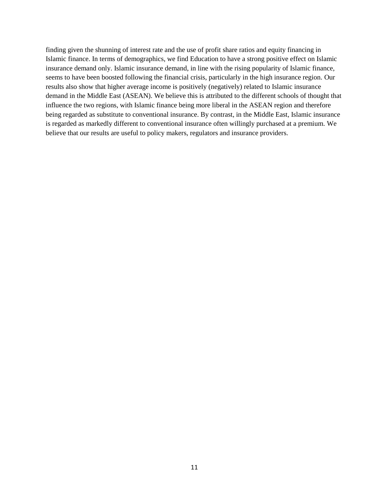finding given the shunning of interest rate and the use of profit share ratios and equity financing in Islamic finance. In terms of demographics, we find Education to have a strong positive effect on Islamic insurance demand only. Islamic insurance demand, in line with the rising popularity of Islamic finance, seems to have been boosted following the financial crisis, particularly in the high insurance region. Our results also show that higher average income is positively (negatively) related to Islamic insurance demand in the Middle East (ASEAN). We believe this is attributed to the different schools of thought that influence the two regions, with Islamic finance being more liberal in the ASEAN region and therefore being regarded as substitute to conventional insurance. By contrast, in the Middle East, Islamic insurance is regarded as markedly different to conventional insurance often willingly purchased at a premium. We believe that our results are useful to policy makers, regulators and insurance providers.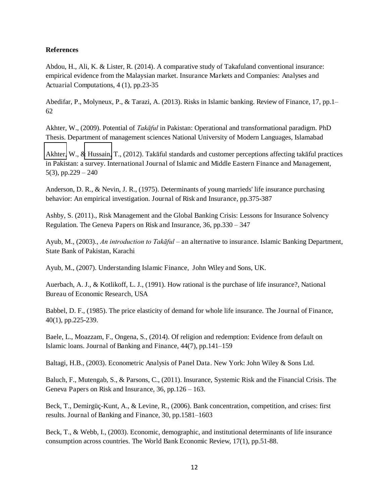#### **References**

Abdou, H., Ali, K. & Lister, R. (2014). A comparative study of Takafuland conventional insurance: empirical evidence from the Malaysian market. Insurance Markets and Companies: Analyses and Actuarial Computations, 4 (1), pp.23-35

Abedifar, P., Molyneux, P., & Tarazi, A. (2013). Risks in Islamic banking. Review of Finance, 17, pp.1– 62

Akhter, W., (2009). Potential of *Takダful* in Pakistan: Operational and transformational paradigm. PhD Thesis. Department of management sciences National University of Modern Languages, Islamabad

[Akhter,](http://www.emeraldinsight.com/author/Akhter%2C+Waheed) W., [& Hussain,](http://www.emeraldinsight.com/author/Hussain%2C+Tajammal) T., (2012). Tak $\bar{a}$ ful standards and customer perceptions affecting tak $\bar{a}$ ful practices in Pakistan: a survey. International Journal of Islamic and Middle Eastern Finance and Management,  $5(3)$ , pp.229 – 240

Anderson, D. R., & Nevin, J. R., (1975). Determinants of young marrieds' life insurance purchasing behavior: An empirical investigation. Journal of Risk and Insurance, pp.375-387

Ashby, S. (2011)., Risk Management and the Global Banking Crisis: Lessons for Insurance Solvency Regulation. The Geneva Papers on Risk and Insurance, 36, pp.330 – 347

Ayub, M., (2003)., *An introduction to Takダful –* an alternative to insurance. Islamic Banking Department, State Bank of Pakistan, Karachi

Ayub, M., (2007). Understanding Islamic Finance, John Wiley and Sons, UK.

Auerbach, A. J., & Kotlikoff, L. J., (1991). How rational is the purchase of life insurance?, National Bureau of Economic Research, USA

Babbel, D. F., (1985). The price elasticity of demand for whole life insurance. The Journal of Finance, 40(1), pp.225-239.

Baele, L., Moazzam, F., Ongena, S., (2014). Of religion and redemption: Evidence from default on Islamic loans. Journal of Banking and Finance, 44(7), pp.141–159

Baltagi, H.B., (2003). Econometric Analysis of Panel Data. New York: John Wiley & Sons Ltd.

Baluch, F., Mutengab, S., & Parsons, C., (2011). Insurance, Systemic Risk and the Financial Crisis. The Geneva Papers on Risk and Insurance, 36, pp.126 – 163.

Beck, T., Demirgüç-Kunt, A., & Levine, R., (2006). Bank concentration, competition, and crises: first results. Journal of Banking and Finance, 30, pp.1581–1603

Beck, T., & Webb, I., (2003). Economic, demographic, and institutional determinants of life insurance consumption across countries. The World Bank Economic Review, 17(1), pp.51-88.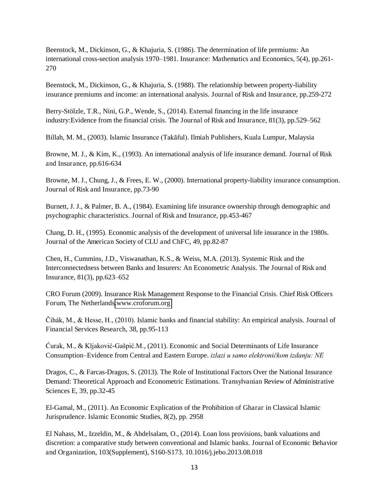Beenstock, M., Dickinson, G., & Khajuria, S. (1986). The determination of life premiums: An international cross-section analysis 1970–1981. Insurance: Mathematics and Economics, 5(4), pp.261- 270

Beenstock, M., Dickinson, G., & Khajuria, S. (1988). The relationship between property-liability insurance premiums and income: an international analysis. Journal of Risk and Insurance, pp.259-272

Berry-Stölzle, T.R., Nini, G.P., Wende, S., (2014). External financing in the life insurance industry:Evidence from the financial crisis. The Journal of Risk and Insurance, 81(3), pp.529–562

Billah, M. M., (2003). Islamic Insurance (Takāful). Ilmiah Publishers, Kuala Lumpur, Malaysia

Browne, M. J., & Kim, K., (1993). An international analysis of life insurance demand. Journal of Risk and Insurance, pp.616-634

Browne, M. J., Chung, J., & Frees, E. W., (2000). International property-liability insurance consumption. Journal of Risk and Insurance, pp.73-90

Burnett, J. J., & Palmer, B. A., (1984). Examining life insurance ownership through demographic and psychographic characteristics. Journal of Risk and Insurance, pp.453-467

Chang, D. H., (1995). Economic analysis of the development of universal life insurance in the 1980s. Journal of the American Society of CLU and ChFC, 49, pp.82-87

Chen, H., Cummins, J.D., Viswanathan, K.S., & Weiss, M.A. (2013). Systemic Risk and the Interconnectedness between Banks and Insurers: An Econometric Analysis. The Journal of Risk and Insurance, 81(3), pp.623–652

CRO Forum (2009). Insurance Risk Management Response to the Financial Crisis. Chief Risk Officers Forum, The Netherlands[.www.croforum.org](http://www.croforum.org/)

Čihák, M., & Hesse, H., (2010). Islamic banks and financial stability: An empirical analysis. Journal of Financial Services Research, 38, pp.95-113

Ćurak, M., & Kljaković-Gašpić.M., (2011). Economic and Social Determinants of Life Insurance Consumption–Evidence from Central and Eastern Europe. *izlazi u samo elektroničkom izdanju: NE*

Dragos, C., & Farcas-Dragos, S. (2013). The Role of Institutional Factors Over the National Insurance Demand: Theoretical Approach and Econometric Estimations. Transylvanian Review of Administrative Sciences E, 39, pp.32-45

El-Gamal, M., (2011). An Economic Explication of the Prohibition of Gharar in Classical Islamic Jurisprudence. Islamic Economic Studies, 8(2), pp. 2958

El Nahass, M., Izzeldin, M., & Abdelsalam, O., (2014). Loan loss provisions, bank valuations and discretion: a comparative study between conventional and Islamic banks. Journal of Economic Behavior and Organization, 103(Supplement), S160-S173. 10.1016/j.jebo.2013.08.018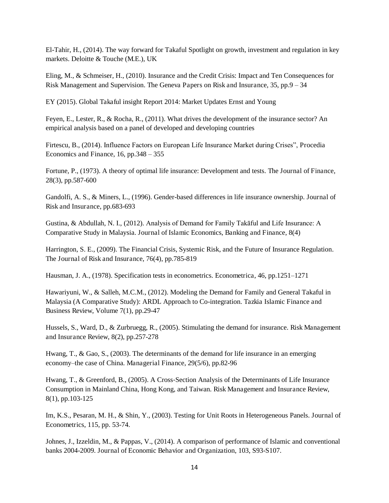El-Tahir, H., (2014). The way forward for Takaful Spotlight on growth, investment and regulation in key markets. Deloitte & Touche (M.E.), UK

Eling, M., & Schmeiser, H., (2010). Insurance and the Credit Crisis: Impact and Ten Consequences for Risk Management and Supervision. The Geneva Papers on Risk and Insurance, 35, pp.9 – 34

EY (2015). Global Takaful insight Report 2014: Market Updates Ernst and Young

Feyen, E., Lester, R., & Rocha, R., (2011). What drives the development of the insurance sector? An empirical analysis based on a panel of developed and developing countries

Firtescu, B., (2014). Influence Factors on European Life Insurance Market during Crises", Procedia Economics and Finance, 16, pp.348 – 355

Fortune, P., (1973). A theory of optimal life insurance: Development and tests. The Journal of Finance, 28(3), pp.587-600

Gandolfi, A. S., & Miners, L., (1996). Gender-based differences in life insurance ownership. Journal of Risk and Insurance, pp.683-693

Gustina, & Abdullah, N. I., (2012). Analysis of Demand for Family Takāful and Life Insurance: A Comparative Study in Malaysia. Journal of Islamic Economics, Banking and Finance, 8(4)

Harrington, S. E., (2009). The Financial Crisis, Systemic Risk, and the Future of Insurance Regulation. The Journal of Risk and Insurance, 76(4), pp.785-819

Hausman, J. A., (1978). Specification tests in econometrics. Econometrica, 46, pp.1251–1271

Hawariyuni, W., & Salleh, M.C.M., (2012). Modeling the Demand for Family and General Takaful in Malaysia (A Comparative Study): ARDL Approach to Co-integration. Tazkia Islamic Finance and Business Review, Volume 7(1), pp.29-47

Hussels, S., Ward, D., & Zurbruegg, R., (2005). Stimulating the demand for insurance. Risk Management and Insurance Review, 8(2), pp.257-278

Hwang, T., & Gao, S., (2003). The determinants of the demand for life insurance in an emerging economy–the case of China. Managerial Finance, 29(5/6), pp.82-96

Hwang, T., & Greenford, B., (2005). A Cross-Section Analysis of the Determinants of Life Insurance Consumption in Mainland China, Hong Kong, and Taiwan. Risk Management and Insurance Review, 8(1), pp.103-125

Im, K.S., Pesaran, M. H., & Shin, Y., (2003). Testing for Unit Roots in Heterogeneous Panels. Journal of Econometrics, 115, pp. 53-74.

Johnes, J., Izzeldin, M., & Pappas, V., (2014). A comparison of performance of Islamic and conventional banks 2004-2009. Journal of Economic Behavior and Organization, 103, S93-S107.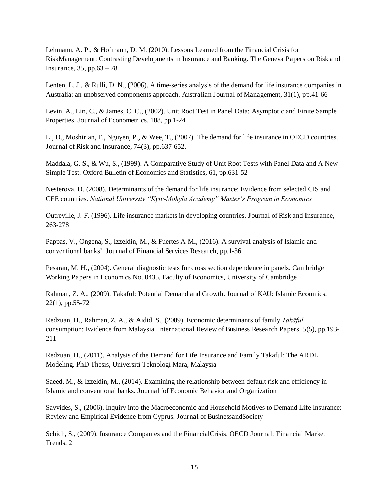Lehmann, A. P., & Hofmann, D. M. (2010). Lessons Learned from the Financial Crisis for RiskManagement: Contrasting Developments in Insurance and Banking. The Geneva Papers on Risk and Insurance,  $35$ , pp. $63 - 78$ 

Lenten, L. J., & Rulli, D. N., (2006). A time-series analysis of the demand for life insurance companies in Australia: an unobserved components approach. Australian Journal of Management, 31(1), pp.41-66

Levin, A., Lin, C., & James, C. C., (2002). Unit Root Test in Panel Data: Asymptotic and Finite Sample Properties. Journal of Econometrics, 108, pp.1-24

Li, D., Moshirian, F., Nguyen, P., & Wee, T., (2007). The demand for life insurance in OECD countries. Journal of Risk and Insurance, 74(3), pp.637-652.

Maddala, G. S., & Wu, S., (1999). A Comparative Study of Unit Root Tests with Panel Data and A New Simple Test. Oxford Bulletin of Economics and Statistics, 61, pp.631-52

Nesterova, D. (2008). Determinants of the demand for life insurance: Evidence from selected CIS and CEE countries. *National University "Kyiv*-*Mohyla Academy" Master's Program in Economics*

Outreville, J. F. (1996). Life insurance markets in developing countries. Journal of Risk and Insurance, 263-278

Pappas, V., Ongena, S., Izzeldin, M., & Fuertes A-M., (2016). A survival analysis of Islamic and conventional banks'. Journal of Financial Services Research, pp.1-36.

Pesaran, M. H., (2004). General diagnostic tests for cross section dependence in panels. Cambridge Working Papers in Economics No. 0435, Faculty of Economics, University of Cambridge

Rahman, Z. A., (2009). Takaful: Potential Demand and Growth. Journal of KAU: Islamic Econmics, 22(1), pp.55-72

Redzuan, H., Rahman, Z. A., & Aidid, S., (2009). Economic determinants of family *Takāful* consumption: Evidence from Malaysia. International Review of Business Research Papers, 5(5), pp.193- 211

Redzuan, H., (2011). Analysis of the Demand for Life Insurance and Family Takaful: The ARDL Modeling. PhD Thesis, Universiti Teknologi Mara, Malaysia

Saeed, M., & Izzeldin, M., (2014). Examining the relationship between default risk and efficiency in Islamic and conventional banks. Journal fof Economic Behavior and Organization

Savvides, S., (2006). Inquiry into the Macroeconomic and Household Motives to Demand Life Insurance: Review and Empirical Evidence from Cyprus. Journal of BusinessandSociety

Schich, S., (2009). Insurance Companies and the FinancialCrisis. OECD Journal: Financial Market Trends, 2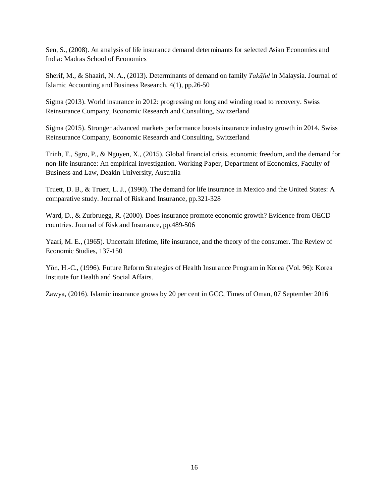Sen, S., (2008). An analysis of life insurance demand determinants for selected Asian Economies and India: Madras School of Economics

Sherif, M., & Shaairi, N. A., (2013). Determinants of demand on family *Takダful* in Malaysia. Journal of Islamic Accounting and Business Research, 4(1), pp.26-50

Sigma (2013). World insurance in 2012: progressing on long and winding road to recovery. Swiss Reinsurance Company, Economic Research and Consulting, Switzerland

Sigma (2015). Stronger advanced markets performance boosts insurance industry growth in 2014. Swiss Reinsurance Company, Economic Research and Consulting, Switzerland

Trinh, T., Sgro, P., & Nguyen, X., (2015). Global financial crisis, economic freedom, and the demand for non-life insurance: An empirical investigation. Working Paper, Department of Economics, Faculty of Business and Law, Deakin University, Australia

Truett, D. B., & Truett, L. J., (1990). The demand for life insurance in Mexico and the United States: A comparative study. Journal of Risk and Insurance, pp.321-328

Ward, D., & Zurbruegg, R. (2000). Does insurance promote economic growth? Evidence from OECD countries. Journal of Risk and Insurance, pp.489-506

Yaari, M. E., (1965). Uncertain lifetime, life insurance, and the theory of the consumer. The Review of Economic Studies, 137-150

Yŏn, H.-C., (1996). Future Reform Strategies of Health Insurance Program in Korea (Vol. 96): Korea Institute for Health and Social Affairs.

Zawya, (2016). Islamic insurance grows by 20 per cent in GCC, Times of Oman, 07 September 2016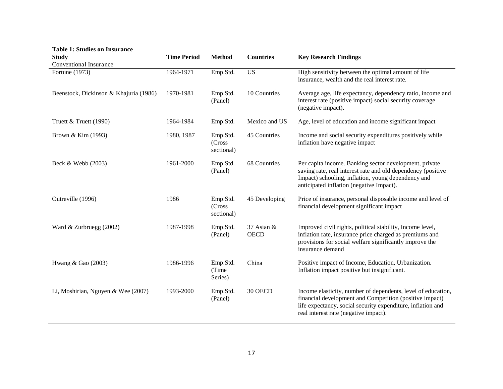| <b>Study</b>                           | <b>Time Period</b> | <b>Method</b>                    | <b>Countries</b>          | <b>Key Research Findings</b>                                                                                                                                                                                                    |
|----------------------------------------|--------------------|----------------------------------|---------------------------|---------------------------------------------------------------------------------------------------------------------------------------------------------------------------------------------------------------------------------|
| Conventional Insurance                 |                    |                                  |                           |                                                                                                                                                                                                                                 |
| Fortune $(1973)$                       | 1964-1971          | Emp.Std.                         | <b>US</b>                 | High sensitivity between the optimal amount of life<br>insurance, wealth and the real interest rate.                                                                                                                            |
| Beenstock, Dickinson & Khajuria (1986) | 1970-1981          | Emp.Std.<br>(Panel)              | 10 Countries              | Average age, life expectancy, dependency ratio, income and<br>interest rate (positive impact) social security coverage<br>(negative impact).                                                                                    |
| Truett & Truett (1990)                 | 1964-1984          | Emp.Std.                         | Mexico and US             | Age, level of education and income significant impact                                                                                                                                                                           |
| Brown & Kim (1993)                     | 1980, 1987         | Emp.Std.<br>(Cross<br>sectional) | 45 Countries              | Income and social security expenditures positively while<br>inflation have negative impact                                                                                                                                      |
| Beck & Webb (2003)                     | 1961-2000          | Emp.Std.<br>(Panel)              | 68 Countries              | Per capita income. Banking sector development, private<br>saving rate, real interest rate and old dependency (positive<br>Impact) schooling, inflation, young dependency and<br>anticipated inflation (negative Impact).        |
| Outreville (1996)                      | 1986               | Emp.Std.<br>(Cross<br>sectional) | 45 Developing             | Price of insurance, personal disposable income and level of<br>financial development significant impact                                                                                                                         |
| Ward & Zurbruegg (2002)                | 1987-1998          | Emp.Std.<br>(Panel)              | 37 Asian &<br><b>OECD</b> | Improved civil rights, political stability, Income level,<br>inflation rate, insurance price charged as premiums and<br>provisions for social welfare significantly improve the<br>insurance demand                             |
| Hwang & Gao (2003)                     | 1986-1996          | Emp.Std.<br>(Time<br>Series)     | China                     | Positive impact of Income, Education, Urbanization.<br>Inflation impact positive but insignificant.                                                                                                                             |
| Li, Moshirian, Nguyen & Wee (2007)     | 1993-2000          | Emp.Std.<br>(Panel)              | 30 OECD                   | Income elasticity, number of dependents, level of education,<br>financial development and Competition (positive impact)<br>life expectancy, social security expenditure, inflation and<br>real interest rate (negative impact). |

#### **Table 1: Studies on Insurance**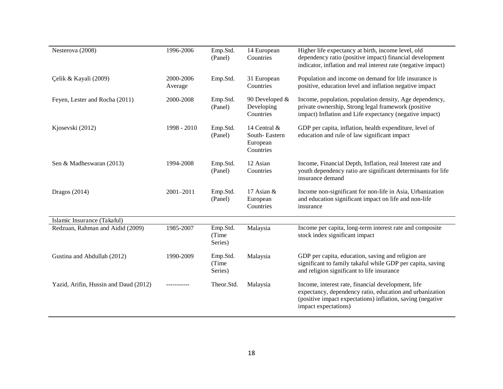| Nesterova (2008)                      | 1996-2006            | Emp.Std.                      | 14 European                                            | Higher life expectancy at birth, income level, old                                                                                                                                                   |
|---------------------------------------|----------------------|-------------------------------|--------------------------------------------------------|------------------------------------------------------------------------------------------------------------------------------------------------------------------------------------------------------|
|                                       |                      | (Panel)                       | Countries                                              | dependency ratio (positive impact) financial development<br>indicator, inflation and real interest rate (negative impact)                                                                            |
| Çelik & Kayali (2009)                 | 2000-2006<br>Average | Emp.Std.                      | 31 European<br>Countries                               | Population and income on demand for life insurance is<br>positive, education level and inflation negative impact                                                                                     |
| Feyen, Lester and Rocha (2011)        | 2000-2008            | Emp.Std.<br>(Panel)           | 90 Developed &<br>Developing<br>Countries              | Income, population, population density, Age dependency,<br>private ownership, Strong legal framework (positive<br>impact) Inflation and Life expectancy (negative impact)                            |
| Kjosevski (2012)                      | 1998 - 2010          | Emp.Std.<br>(Panel)           | 14 Central &<br>South-Eastern<br>European<br>Countries | GDP per capita, inflation, health expenditure, level of<br>education and rule of law significant impact                                                                                              |
| Sen & Madheswaran (2013)              | 1994-2008            | Emp.Std.<br>(Panel)           | 12 Asian<br>Countries                                  | Income, Financial Depth, Inflation, real Interest rate and<br>youth dependency ratio are significant determinants for life<br>insurance demand                                                       |
| Dragos (2014)                         | 2001-2011            | Emp.Std.<br>(Panel)           | 17 Asian &<br>European<br>Countries                    | Income non-significant for non-life in Asia, Urbanization<br>and education significant impact on life and non-life<br>insurance                                                                      |
| Islamic Insurance (Takaful)           |                      |                               |                                                        |                                                                                                                                                                                                      |
| Redzuan, Rahman and Aidid (2009)      | 1985-2007            | Emp.Std.<br>(Time)<br>Series) | Malaysia                                               | Income per capita, long-term interest rate and composite<br>stock index significant impact                                                                                                           |
| Gustina and Abdullah (2012)           | 1990-2009            | Emp.Std.<br>(Time)<br>Series) | Malaysia                                               | GDP per capita, education, saving and religion are<br>significant to family takaful while GDP per capita, saving<br>and religion significant to life insurance                                       |
| Yazid, Arifin, Hussin and Daud (2012) |                      | Theor.Std.                    | Malaysia                                               | Income, interest rate, financial development, life<br>expectancy, dependency ratio, education and urbanization<br>(positive impact expectations) inflation, saving (negative<br>impact expectations) |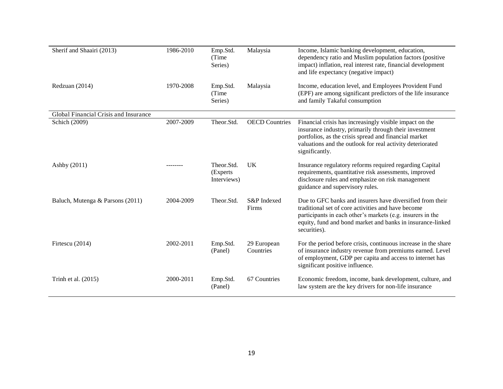| Sherif and Shaairi (2013)             | 1986-2010 | Emp.Std.<br>(Time)<br>Series)          | Malaysia                 | Income, Islamic banking development, education,<br>dependency ratio and Muslim population factors (positive<br>impact) inflation, real interest rate, financial development<br>and life expectancy (negative impact)                                        |
|---------------------------------------|-----------|----------------------------------------|--------------------------|-------------------------------------------------------------------------------------------------------------------------------------------------------------------------------------------------------------------------------------------------------------|
| Redzuan (2014)                        | 1970-2008 | Emp.Std.<br>(Time)<br>Series)          | Malaysia                 | Income, education level, and Employees Provident Fund<br>(EPF) are among significant predictors of the life insurance<br>and family Takaful consumption                                                                                                     |
| Global Financial Crisis and Insurance |           |                                        |                          |                                                                                                                                                                                                                                                             |
| Schich (2009)                         | 2007-2009 | Theor.Std.                             | <b>OECD</b> Countries    | Financial crisis has increasingly visible impact on the<br>insurance industry, primarily through their investment<br>portfolios, as the crisis spread and financial market<br>valuations and the outlook for real activity deteriorated<br>significantly.   |
| Ashby (2011)                          |           | Theor.Std.<br>(Experts)<br>Interviews) | UK                       | Insurance regulatory reforms required regarding Capital<br>requirements, quantitative risk assessments, improved<br>disclosure rules and emphasize on risk management<br>guidance and supervisory rules.                                                    |
| Baluch, Mutenga & Parsons (2011)      | 2004-2009 | Theor.Std.                             | S&P Indexed<br>Firms     | Due to GFC banks and insurers have diversified from their<br>traditional set of core activities and have become<br>participants in each other's markets (e.g. insurers in the<br>equity, fund and bond market and banks in insurance-linked<br>securities). |
| Firtescu (2014)                       | 2002-2011 | Emp.Std.<br>(Panel)                    | 29 European<br>Countries | For the period before crisis, continuous increase in the share<br>of insurance industry revenue from premiums earned. Level<br>of employment, GDP per capita and access to internet has<br>significant positive influence.                                  |
| Trinh et al. (2015)                   | 2000-2011 | Emp.Std.<br>(Panel)                    | 67 Countries             | Economic freedom, income, bank development, culture, and<br>law system are the key drivers for non-life insurance                                                                                                                                           |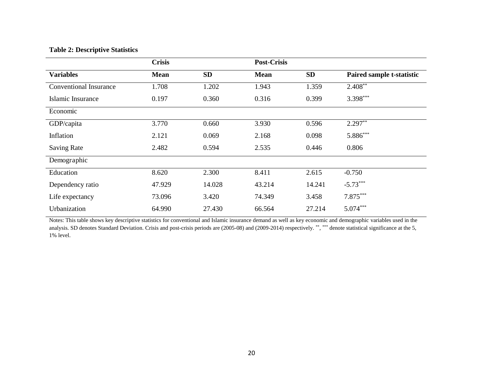### **Table 2: Descriptive Statistics**

|                        | <b>Crisis</b> |           | <b>Post-Crisis</b> |           |                           |
|------------------------|---------------|-----------|--------------------|-----------|---------------------------|
| <b>Variables</b>       | <b>Mean</b>   | <b>SD</b> | <b>Mean</b>        | <b>SD</b> | Paired sample t-statistic |
| Conventional Insurance | 1.708         | 1.202     | 1.943              | 1.359     | $2.408**$                 |
| Islamic Insurance      | 0.197         | 0.360     | 0.316              | 0.399     | 3.398***                  |
| Economic               |               |           |                    |           |                           |
| GDP/capita             | 3.770         | 0.660     | 3.930              | 0.596     | $2.297**$                 |
| Inflation              | 2.121         | 0.069     | 2.168              | 0.098     | 5.886***                  |
| <b>Saving Rate</b>     | 2.482         | 0.594     | 2.535              | 0.446     | 0.806                     |
| Demographic            |               |           |                    |           |                           |
| Education              | 8.620         | 2.300     | 8.411              | 2.615     | $-0.750$                  |
| Dependency ratio       | 47.929        | 14.028    | 43.214             | 14.241    | $-5.73***$                |
| Life expectancy        | 73.096        | 3.420     | 74.349             | 3.458     | $7.875***$                |
| Urbanization           | 64.990        | 27.430    | 66.564             | 27.214    | $5.074***$                |

Notes: This table shows key descriptive statistics for conventional and Islamic insurance demand as well as key economic and demographic variables used in the analysis. SD denotes Standard Deviation. Crisis and post-crisis periods are (2005-08) and (2009-2014) respectively.<sup>\*\*</sup>,\*\*\*\* denote statistical significance at the 5, 1% level.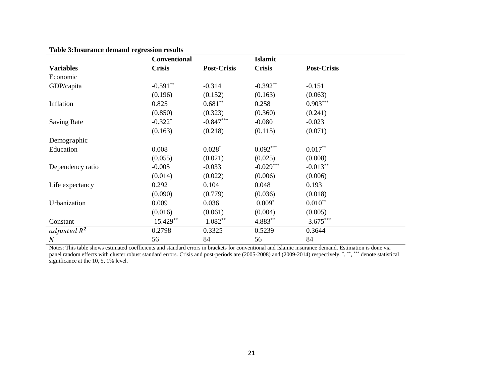|                    | <b>Conventional</b> |                    | <b>Islamic</b> |                    |
|--------------------|---------------------|--------------------|----------------|--------------------|
| <b>Variables</b>   | <b>Crisis</b>       | <b>Post-Crisis</b> | <b>Crisis</b>  | <b>Post-Crisis</b> |
| Economic           |                     |                    |                |                    |
| GDP/capita         | $-0.591***$         | $-0.314$           | $-0.392***$    | $-0.151$           |
|                    | (0.196)             | (0.152)            | (0.163)        | (0.063)            |
| Inflation          | 0.825               | $0.681**$          | 0.258          | $0.903***$         |
|                    | (0.850)             | (0.323)            | (0.360)        | (0.241)            |
| <b>Saving Rate</b> | $-0.322*$           | $-0.847***$        | $-0.080$       | $-0.023$           |
|                    | (0.163)             | (0.218)            | (0.115)        | (0.071)            |
| Demographic        |                     |                    |                |                    |
| Education          | 0.008               | $0.028*$           | $0.092***$     | $0.017**$          |
|                    | (0.055)             | (0.021)            | (0.025)        | (0.008)            |
| Dependency ratio   | $-0.005$            | $-0.033$           | $-0.029***$    | $-0.013**$         |
|                    | (0.014)             | (0.022)            | (0.006)        | (0.006)            |
| Life expectancy    | 0.292               | 0.104              | 0.048          | 0.193              |
|                    | (0.090)             | (0.779)            | (0.036)        | (0.018)            |
| Urbanization       | 0.009               | 0.036              | $0.009*$       | $0.010**$          |
|                    | (0.016)             | (0.061)            | (0.004)        | (0.005)            |
| Constant           | $-15.429**$         | $-1.082**$         | 4.883**        | $-3.675***$        |
| adjusted $R^2$     | 0.2798              | 0.3325             | 0.5239         | 0.3644             |
| $\boldsymbol{N}$   | 56                  | 84                 | 56             | 84                 |

**Table 3:Insurance demand regression results**

Notes: This table shows estimated coefficients and standard errors in brackets for conventional and Islamic insurance demand. Estimation is done via panel random effects with cluster robust standard errors. Crisis and post-periods are (2005-2008) and (2009-2014) respectively. \*,\*\*,\*\*\*\*\* denote statistical significance at the 10, 5, 1% level.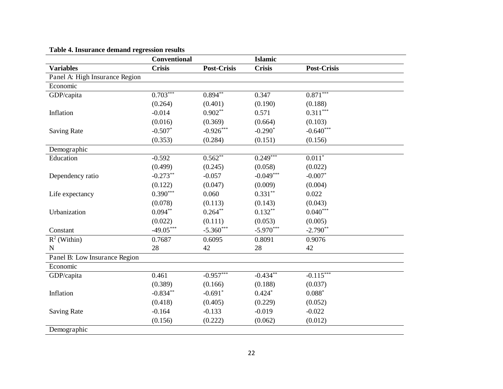|                                | Conventional  |             | <b>Islamic</b> |                         |
|--------------------------------|---------------|-------------|----------------|-------------------------|
| <b>Variables</b>               | <b>Crisis</b> | Post-Crisis | <b>Crisis</b>  | Post-Crisis             |
| Panel A: High Insurance Region |               |             |                |                         |
| Economic                       |               |             |                |                         |
| GDP/capita                     | $0.703***$    | $0.894***$  | 0.347          | $0.871***$              |
|                                | (0.264)       | (0.401)     | (0.190)        | (0.188)                 |
| Inflation                      | $-0.014$      | $0.902**$   | 0.571          | $0.311***$              |
|                                | (0.016)       | (0.369)     | (0.664)        | (0.103)                 |
| <b>Saving Rate</b>             | $-0.507*$     | $-0.926***$ | $-0.290*$      | $-0.640***$             |
|                                | (0.353)       | (0.284)     | (0.151)        | (0.156)                 |
| Demographic                    |               |             |                |                         |
| Education                      | $-0.592$      | $0.562**$   | $0.249***$     | $0.011*$                |
|                                | (0.499)       | (0.245)     | (0.058)        | (0.022)                 |
| Dependency ratio               | $-0.273**$    | $-0.057$    | $-0.049***$    | $-0.007*$               |
|                                | (0.122)       | (0.047)     | (0.009)        | (0.004)                 |
| Life expectancy                | $0.390***$    | 0.060       | $0.331**$      | 0.022                   |
|                                | (0.078)       | (0.113)     | (0.143)        | (0.043)                 |
| Urbanization                   | $0.094**$     | $0.264***$  | $0.132**$      | $0.040***$              |
|                                | (0.022)       | (0.111)     | (0.053)        | (0.005)                 |
| Constant                       | $-49.05***$   | $-5.360***$ | $-5.970***$    | $-2.790**$              |
| $R^2$ (Within)                 | 0.7687        | 0.6095      | 0.8091         | 0.9076                  |
| ${\bf N}$                      | 28            | 42          | 28             | 42                      |
| Panel B: Low Insurance Region  |               |             |                |                         |
| Economic                       |               |             |                |                         |
| GDP/capita                     | 0.461         | $-0.957***$ | $-0.434**$     | $-0.1\overline{15}$ *** |
|                                | (0.389)       | (0.166)     | (0.188)        | (0.037)                 |
| Inflation                      | $-0.834**$    | $-0.691*$   | $0.424*$       | $0.088*$                |
|                                | (0.418)       | (0.405)     | (0.229)        | (0.052)                 |
| <b>Saving Rate</b>             | $-0.164$      | $-0.133$    | $-0.019$       | $-0.022$                |
|                                | (0.156)       | (0.222)     | (0.062)        | (0.012)                 |
| Demographic                    |               |             |                |                         |

# **Table 4. Insurance demand regression results**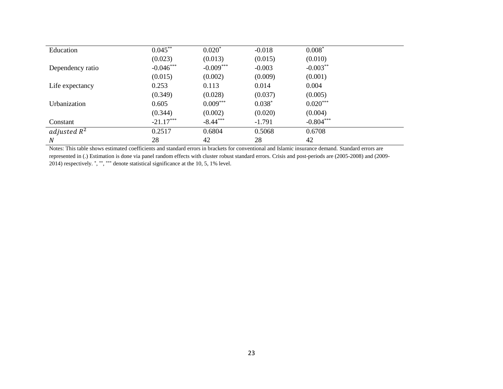| Education        | $0.045***$  | $0.020*$    | $-0.018$ | $0.008*$    |
|------------------|-------------|-------------|----------|-------------|
|                  | (0.023)     | (0.013)     | (0.015)  | (0.010)     |
| Dependency ratio | $-0.046***$ | $-0.009***$ | $-0.003$ | $-0.003**$  |
|                  | (0.015)     | (0.002)     | (0.009)  | (0.001)     |
| Life expectancy  | 0.253       | 0.113       | 0.014    | 0.004       |
|                  | (0.349)     | (0.028)     | (0.037)  | (0.005)     |
| Urbanization     | 0.605       | $0.009***$  | $0.038*$ | $0.020***$  |
|                  | (0.344)     | (0.002)     | (0.020)  | (0.004)     |
| Constant         | $-21.17***$ | $-8.44***$  | $-1.791$ | $-0.804***$ |
| adjusted $R^2$   | 0.2517      | 0.6804      | 0.5068   | 0.6708      |
| $\boldsymbol{N}$ | 28          | 42          | 28       | 42          |

Notes: This table shows estimated coefficients and standard errors in brackets for conventional and Islamic insurance demand. Standard errors are represented in (.) Estimation is done via panel random effects with cluster robust standard errors. Crisis and post-periods are (2005-2008) and (2009- 2014) respectively. \*, \*\*\*, \*\*\* denote statistical significance at the 10, 5, 1% level.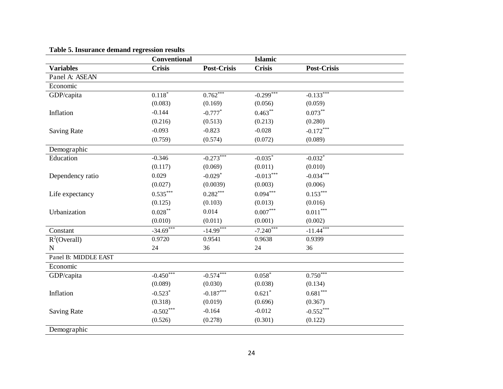|                      | <b>Conventional</b> |                       | <b>Islamic</b> |             |
|----------------------|---------------------|-----------------------|----------------|-------------|
| <b>Variables</b>     | <b>Crisis</b>       | Post-Crisis           | <b>Crisis</b>  | Post-Crisis |
| Panel A: ASEAN       |                     |                       |                |             |
| Economic             |                     |                       |                |             |
| GDP/capita           | $0.118*$            | $0.762***$            | $-0.299***$    | $-0.133***$ |
|                      | (0.083)             | (0.169)               | (0.056)        | (0.059)     |
| Inflation            | $-0.144$            | $-0.777*$             | $0.463***$     | $0.073***$  |
|                      | (0.216)             | (0.513)               | (0.213)        | (0.280)     |
| <b>Saving Rate</b>   | $-0.093$            | $-0.823$              | $-0.028$       | $-0.172***$ |
|                      | (0.759)             | (0.574)               | (0.072)        | (0.089)     |
| Demographic          |                     |                       |                |             |
| Education            | $-0.346$            | $-0.273***$           | $-0.035*$      | $-0.032*$   |
|                      | (0.117)             | (0.069)               | (0.011)        | (0.010)     |
| Dependency ratio     | 0.029               | $-0.029$ <sup>*</sup> | $-0.013***$    | $-0.034***$ |
|                      | (0.027)             | (0.0039)              | (0.003)        | (0.006)     |
| Life expectancy      | $0.535***$          | $0.282***$            | $0.094***$     | $0.153***$  |
|                      | (0.125)             | (0.103)               | (0.013)        | (0.016)     |
| Urbanization         | $0.028***$          | 0.014                 | $0.007***$     | $0.011***$  |
|                      | (0.010)             | (0.011)               | (0.001)        | (0.002)     |
| Constant             | $-34.69***$         | $-14.99***$           | $-7.240***$    | $-11.44***$ |
| $R^2$ (Overall)      | 0.9720              | 0.9541                | 0.9638         | 0.9399      |
| $\mathbf N$          | 24                  | 36                    | 24             | 36          |
| Panel B: MIDDLE EAST |                     |                       |                |             |
| Economic             |                     |                       |                |             |
| GDP/capita           | $-0.450***$         | $-0.574***$           | $0.058*$       | $0.750***$  |
|                      | (0.089)             | (0.030)               | (0.038)        | (0.134)     |
| Inflation            | $-0.523*$           | $-0.187***$           | $0.621*$       | $0.681***$  |
|                      | (0.318)             | (0.019)               | (0.696)        | (0.367)     |
| <b>Saving Rate</b>   | $-0.502***$         | $-0.164$              | $-0.012$       | $-0.552***$ |
|                      | (0.526)             | (0.278)               | (0.301)        | (0.122)     |
| Demographic          |                     |                       |                |             |

# **Table 5. Insurance demand regression results**